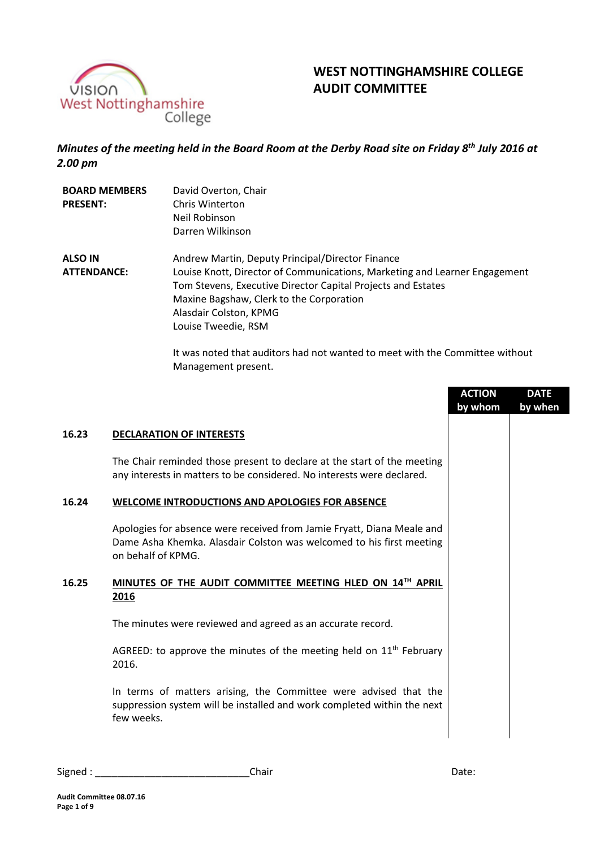

# **WEST NOTTINGHAMSHIRE COLLEGE AUDIT COMMITTEE**

*Minutes of the meeting held in the Board Room at the Derby Road site on Friday 8 th July 2016 at 2.00 pm*

| <b>BOARD MEMBERS</b> | David Overton, Chair                                                       |
|----------------------|----------------------------------------------------------------------------|
| <b>PRESENT:</b>      | Chris Winterton                                                            |
|                      | Neil Robinson                                                              |
|                      | Darren Wilkinson                                                           |
| <b>ALSO IN</b>       | Andrew Martin, Deputy Principal/Director Finance                           |
| <b>ATTENDANCE:</b>   | Louise Knott, Director of Communications, Marketing and Learner Engagement |
|                      | Tom Stevens, Executive Director Capital Projects and Estates               |
|                      | Maxine Bagshaw, Clerk to the Corporation                                   |
|                      | Alasdair Colston, KPMG                                                     |
|                      | Louise Tweedie, RSM                                                        |
|                      |                                                                            |

It was noted that auditors had not wanted to meet with the Committee without Management present.

|       |                                                                                                                                                                      | <b>ACTION</b><br>by whom | <b>DATE</b><br>by when |
|-------|----------------------------------------------------------------------------------------------------------------------------------------------------------------------|--------------------------|------------------------|
| 16.23 | <b>DECLARATION OF INTERESTS</b>                                                                                                                                      |                          |                        |
|       | The Chair reminded those present to declare at the start of the meeting<br>any interests in matters to be considered. No interests were declared.                    |                          |                        |
| 16.24 | <b>WELCOME INTRODUCTIONS AND APOLOGIES FOR ABSENCE</b>                                                                                                               |                          |                        |
|       | Apologies for absence were received from Jamie Fryatt, Diana Meale and<br>Dame Asha Khemka. Alasdair Colston was welcomed to his first meeting<br>on behalf of KPMG. |                          |                        |
| 16.25 | MINUTES OF THE AUDIT COMMITTEE MEETING HLED ON 14TH APRIL<br>2016                                                                                                    |                          |                        |
|       | The minutes were reviewed and agreed as an accurate record.                                                                                                          |                          |                        |
|       | AGREED: to approve the minutes of the meeting held on $11th$ February<br>2016.                                                                                       |                          |                        |
|       | In terms of matters arising, the Committee were advised that the<br>suppression system will be installed and work completed within the next<br>few weeks.            |                          |                        |

| Signed | ,,,,,, |
|--------|--------|
| Chair  | Dale.  |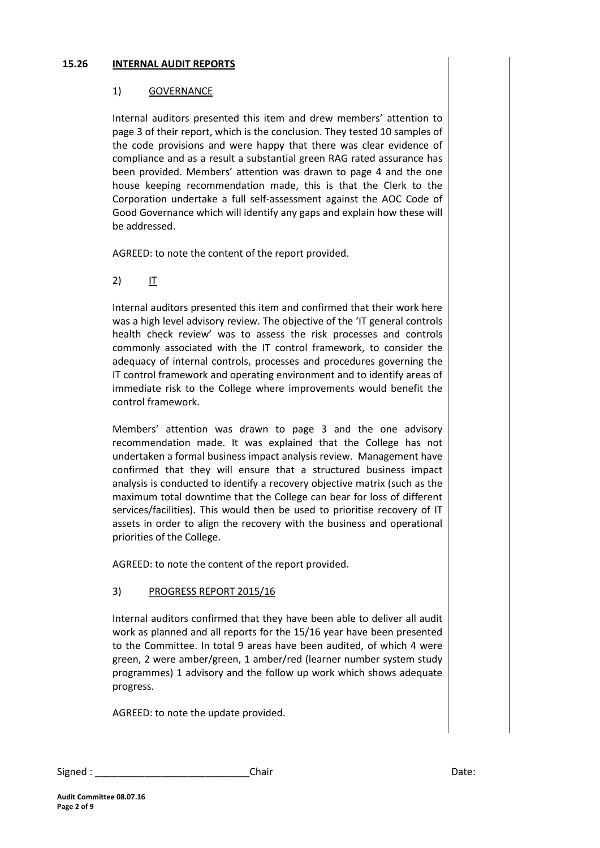#### **15.26 INTERNAL AUDIT REPORTS**

## 1) GOVERNANCE

Internal auditors presented this item and drew members' attention to page 3 of their report, which is the conclusion. They tested 10 samples of the code provisions and were happy that there was clear evidence of compliance and as a result a substantial green RAG rated assurance has been provided. Members' attention was drawn to page 4 and the one house keeping recommendation made, this is that the Clerk to the Corporation undertake a full self-assessment against the AOC Code of Good Governance which will identify any gaps and explain how these will be addressed.

AGREED: to note the content of the report provided.

2) IT

Internal auditors presented this item and confirmed that their work here was a high level advisory review. The objective of the 'IT general controls health check review' was to assess the risk processes and controls commonly associated with the IT control framework, to consider the adequacy of internal controls, processes and procedures governing the IT control framework and operating environment and to identify areas of immediate risk to the College where improvements would benefit the control framework.

Members' attention was drawn to page 3 and the one advisory recommendation made. It was explained that the College has not undertaken a formal business impact analysis review. Management have confirmed that they will ensure that a structured business impact analysis is conducted to identify a recovery objective matrix (such as the maximum total downtime that the College can bear for loss of different services/facilities). This would then be used to prioritise recovery of IT assets in order to align the recovery with the business and operational priorities of the College.

AGREED: to note the content of the report provided.

# 3) PROGRESS REPORT 2015/16

Internal auditors confirmed that they have been able to deliver all audit work as planned and all reports for the 15/16 year have been presented to the Committee. In total 9 areas have been audited, of which 4 were green, 2 were amber/green, 1 amber/red (learner number system study programmes) 1 advisory and the follow up work which shows adequate progress.

AGREED: to note the update provided.

| Signed | Chair | า∽+∠<br>Dale. |
|--------|-------|---------------|
|--------|-------|---------------|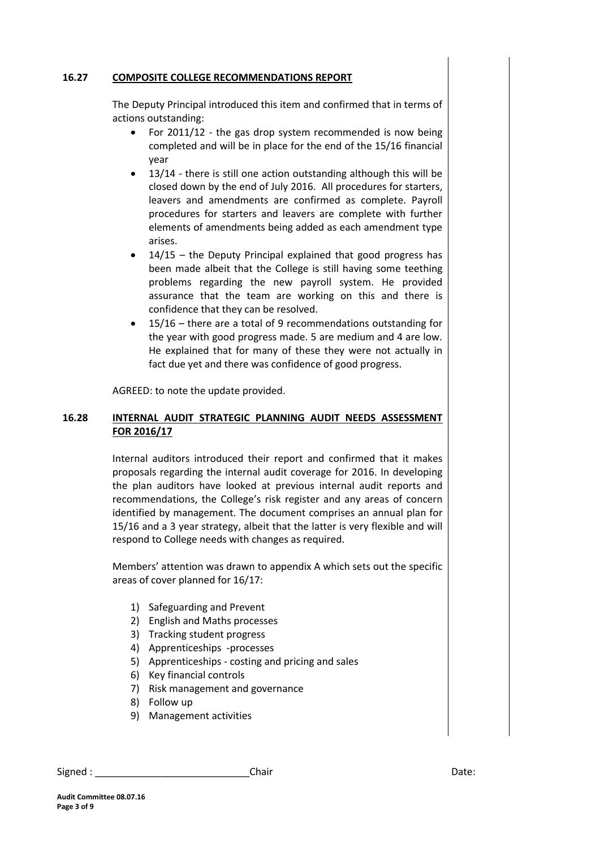#### **16.27 COMPOSITE COLLEGE RECOMMENDATIONS REPORT**

The Deputy Principal introduced this item and confirmed that in terms of actions outstanding:

- For 2011/12 the gas drop system recommended is now being completed and will be in place for the end of the 15/16 financial year
- 13/14 there is still one action outstanding although this will be closed down by the end of July 2016. All procedures for starters, leavers and amendments are confirmed as complete. Payroll procedures for starters and leavers are complete with further elements of amendments being added as each amendment type arises.
- 14/15 the Deputy Principal explained that good progress has been made albeit that the College is still having some teething problems regarding the new payroll system. He provided assurance that the team are working on this and there is confidence that they can be resolved.
- 15/16 there are a total of 9 recommendations outstanding for the year with good progress made. 5 are medium and 4 are low. He explained that for many of these they were not actually in fact due yet and there was confidence of good progress.

AGREED: to note the update provided.

## **16.28 INTERNAL AUDIT STRATEGIC PLANNING AUDIT NEEDS ASSESSMENT FOR 2016/17**

Internal auditors introduced their report and confirmed that it makes proposals regarding the internal audit coverage for 2016. In developing the plan auditors have looked at previous internal audit reports and recommendations, the College's risk register and any areas of concern identified by management. The document comprises an annual plan for 15/16 and a 3 year strategy, albeit that the latter is very flexible and will respond to College needs with changes as required.

Members' attention was drawn to appendix A which sets out the specific areas of cover planned for 16/17:

- 1) Safeguarding and Prevent
- 2) English and Maths processes
- 3) Tracking student progress
- 4) Apprenticeships -processes
- 5) Apprenticeships costing and pricing and sales
- 6) Key financial controls
- 7) Risk management and governance
- 8) Follow up
- 9) Management activities

# Signed : \_\_\_\_\_\_\_\_\_\_\_\_\_\_\_\_\_\_\_\_\_\_\_\_\_\_\_\_Chair Date: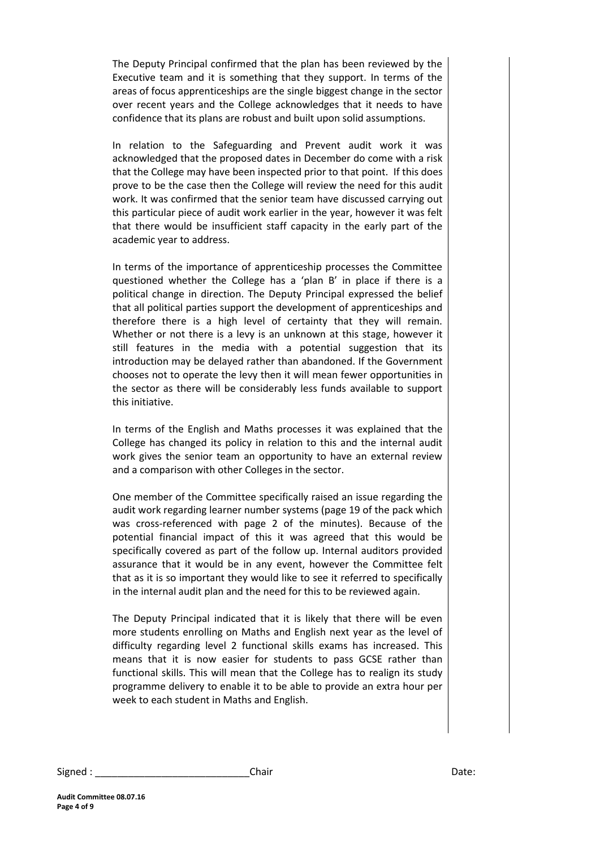The Deputy Principal confirmed that the plan has been reviewed by the Executive team and it is something that they support. In terms of the areas of focus apprenticeships are the single biggest change in the sector over recent years and the College acknowledges that it needs to have confidence that its plans are robust and built upon solid assumptions.

In relation to the Safeguarding and Prevent audit work it was acknowledged that the proposed dates in December do come with a risk that the College may have been inspected prior to that point. If this does prove to be the case then the College will review the need for this audit work. It was confirmed that the senior team have discussed carrying out this particular piece of audit work earlier in the year, however it was felt that there would be insufficient staff capacity in the early part of the academic year to address.

In terms of the importance of apprenticeship processes the Committee questioned whether the College has a 'plan B' in place if there is a political change in direction. The Deputy Principal expressed the belief that all political parties support the development of apprenticeships and therefore there is a high level of certainty that they will remain. Whether or not there is a levy is an unknown at this stage, however it still features in the media with a potential suggestion that its introduction may be delayed rather than abandoned. If the Government chooses not to operate the levy then it will mean fewer opportunities in the sector as there will be considerably less funds available to support this initiative.

In terms of the English and Maths processes it was explained that the College has changed its policy in relation to this and the internal audit work gives the senior team an opportunity to have an external review and a comparison with other Colleges in the sector.

One member of the Committee specifically raised an issue regarding the audit work regarding learner number systems (page 19 of the pack which was cross-referenced with page 2 of the minutes). Because of the potential financial impact of this it was agreed that this would be specifically covered as part of the follow up. Internal auditors provided assurance that it would be in any event, however the Committee felt that as it is so important they would like to see it referred to specifically in the internal audit plan and the need for this to be reviewed again.

The Deputy Principal indicated that it is likely that there will be even more students enrolling on Maths and English next year as the level of difficulty regarding level 2 functional skills exams has increased. This means that it is now easier for students to pass GCSE rather than functional skills. This will mean that the College has to realign its study programme delivery to enable it to be able to provide an extra hour per week to each student in Maths and English.

Signed : \_\_\_\_\_\_\_\_\_\_\_\_\_\_\_\_\_\_\_\_\_\_\_\_\_\_\_\_Chair Date: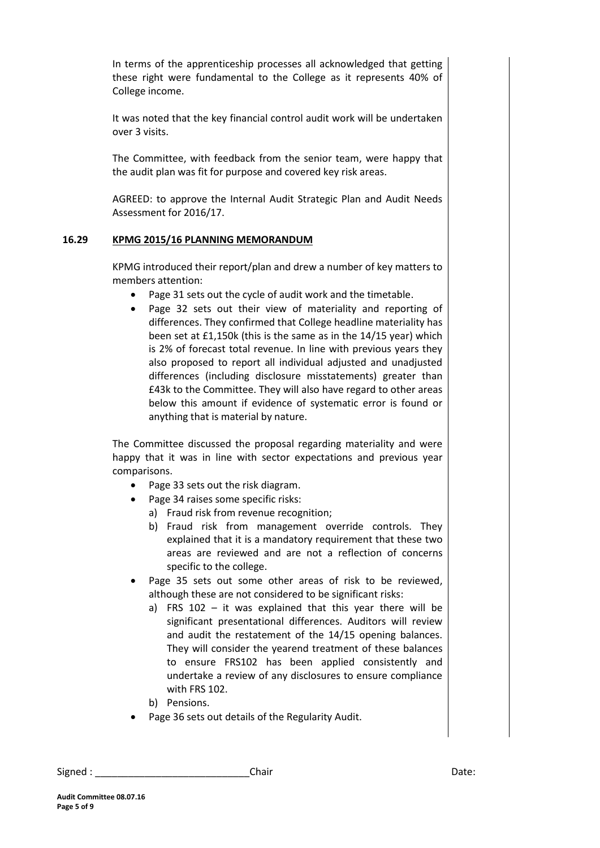In terms of the apprenticeship processes all acknowledged that getting these right were fundamental to the College as it represents 40% of College income.

It was noted that the key financial control audit work will be undertaken over 3 visits.

The Committee, with feedback from the senior team, were happy that the audit plan was fit for purpose and covered key risk areas.

AGREED: to approve the Internal Audit Strategic Plan and Audit Needs Assessment for 2016/17.

#### **16.29 KPMG 2015/16 PLANNING MEMORANDUM**

KPMG introduced their report/plan and drew a number of key matters to members attention:

- Page 31 sets out the cycle of audit work and the timetable.
- Page 32 sets out their view of materiality and reporting of differences. They confirmed that College headline materiality has been set at £1,150k (this is the same as in the 14/15 year) which is 2% of forecast total revenue. In line with previous years they also proposed to report all individual adjusted and unadjusted differences (including disclosure misstatements) greater than £43k to the Committee. They will also have regard to other areas below this amount if evidence of systematic error is found or anything that is material by nature.

The Committee discussed the proposal regarding materiality and were happy that it was in line with sector expectations and previous year comparisons.

- Page 33 sets out the risk diagram.
- Page 34 raises some specific risks:
	- a) Fraud risk from revenue recognition;
	- b) Fraud risk from management override controls. They explained that it is a mandatory requirement that these two areas are reviewed and are not a reflection of concerns specific to the college.
- Page 35 sets out some other areas of risk to be reviewed, although these are not considered to be significant risks:
	- a) FRS 102 it was explained that this year there will be significant presentational differences. Auditors will review and audit the restatement of the 14/15 opening balances. They will consider the yearend treatment of these balances to ensure FRS102 has been applied consistently and undertake a review of any disclosures to ensure compliance with FRS 102.
	- b) Pensions.
- Page 36 sets out details of the Regularity Audit.

Signed : \_\_\_\_\_\_\_\_\_\_\_\_\_\_\_\_\_\_\_\_\_\_\_\_\_\_\_\_Chair Date: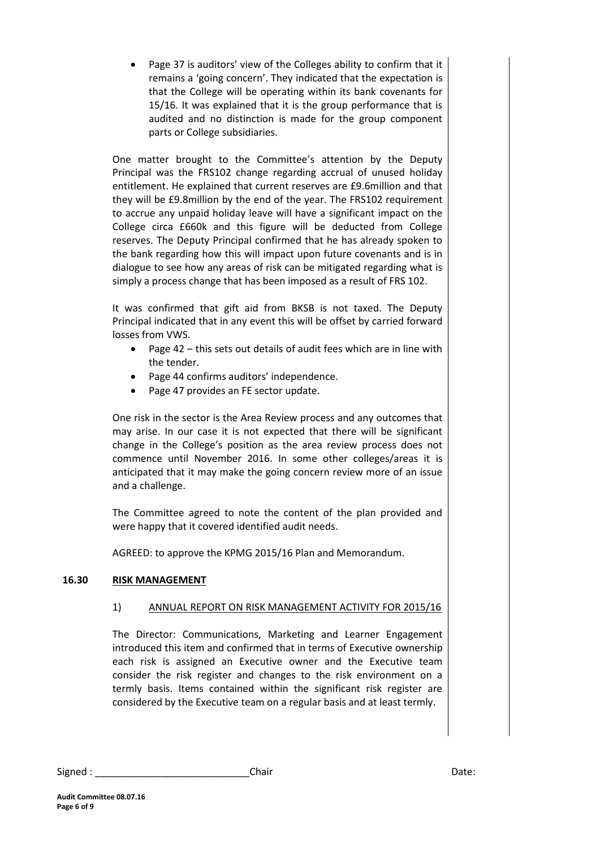Page 37 is auditors' view of the Colleges ability to confirm that it remains a 'going concern'. They indicated that the expectation is that the College will be operating within its bank covenants for 15/16. It was explained that it is the group performance that is audited and no distinction is made for the group component parts or College subsidiaries.

One matter brought to the Committee's attention by the Deputy Principal was the FRS102 change regarding accrual of unused holiday entitlement. He explained that current reserves are £9.6million and that they will be £9.8million by the end of the year. The FRS102 requirement to accrue any unpaid holiday leave will have a significant impact on the College circa £660k and this figure will be deducted from College reserves. The Deputy Principal confirmed that he has already spoken to the bank regarding how this will impact upon future covenants and is in dialogue to see how any areas of risk can be mitigated regarding what is simply a process change that has been imposed as a result of FRS 102.

It was confirmed that gift aid from BKSB is not taxed. The Deputy Principal indicated that in any event this will be offset by carried forward losses from VWS.

- Page 42 this sets out details of audit fees which are in line with the tender.
- Page 44 confirms auditors' independence.
- Page 47 provides an FE sector update.

One risk in the sector is the Area Review process and any outcomes that may arise. In our case it is not expected that there will be significant change in the College's position as the area review process does not commence until November 2016. In some other colleges/areas it is anticipated that it may make the going concern review more of an issue and a challenge.

The Committee agreed to note the content of the plan provided and were happy that it covered identified audit needs.

AGREED: to approve the KPMG 2015/16 Plan and Memorandum.

# **16.30 RISK MANAGEMENT**

#### 1) ANNUAL REPORT ON RISK MANAGEMENT ACTIVITY FOR 2015/16

The Director: Communications, Marketing and Learner Engagement introduced this item and confirmed that in terms of Executive ownership each risk is assigned an Executive owner and the Executive team consider the risk register and changes to the risk environment on a termly basis. Items contained within the significant risk register are considered by the Executive team on a regular basis and at least termly.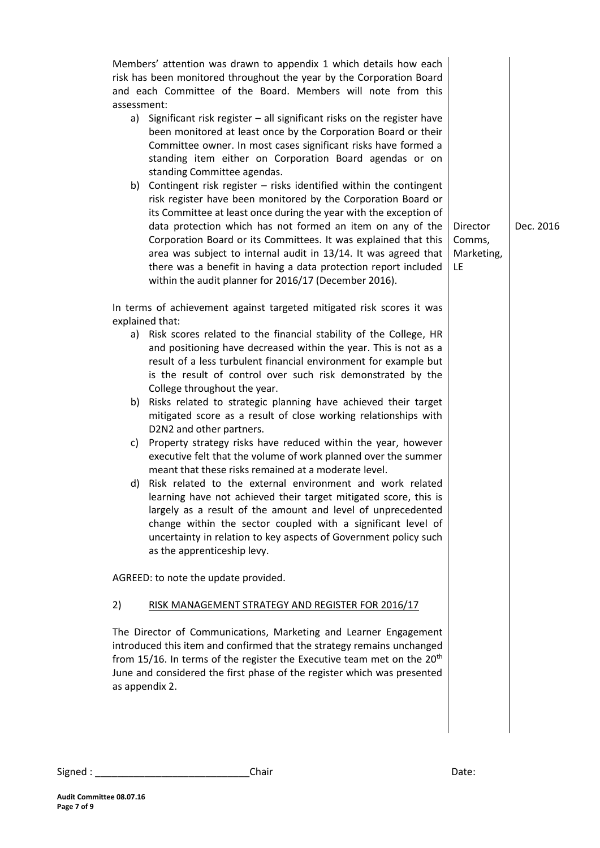Members' attention was drawn to appendix 1 which details how each risk has been monitored throughout the year by the Corporation Board and each Committee of the Board. Members will note from this assessment: a) Significant risk register – all significant risks on the register have been monitored at least once by the Corporation Board or their Committee owner. In most cases significant risks have formed a standing item either on Corporation Board agendas or on standing Committee agendas. b) Contingent risk register – risks identified within the contingent risk register have been monitored by the Corporation Board or its Committee at least once during the year with the exception of data protection which has not formed an item on any of the Corporation Board or its Committees. It was explained that this area was subject to internal audit in 13/14. It was agreed that there was a benefit in having a data protection report included within the audit planner for 2016/17 (December 2016). In terms of achievement against targeted mitigated risk scores it was explained that: a) Risk scores related to the financial stability of the College, HR and positioning have decreased within the year. This is not as a result of a less turbulent financial environment for example but is the result of control over such risk demonstrated by the College throughout the year. b) Risks related to strategic planning have achieved their target mitigated score as a result of close working relationships with D2N2 and other partners. c) Property strategy risks have reduced within the year, however executive felt that the volume of work planned over the summer meant that these risks remained at a moderate level. d) Risk related to the external environment and work related learning have not achieved their target mitigated score, this is largely as a result of the amount and level of unprecedented change within the sector coupled with a significant level of uncertainty in relation to key aspects of Government policy such as the apprenticeship levy. AGREED: to note the update provided. 2) RISK MANAGEMENT STRATEGY AND REGISTER FOR 2016/17 The Director of Communications, Marketing and Learner Engagement introduced this item and confirmed that the strategy remains unchanged from 15/16. In terms of the register the Executive team met on the 20<sup>th</sup> June and considered the first phase of the register which was presented as appendix 2. Director Comms, Marketing, LE Dec. 2016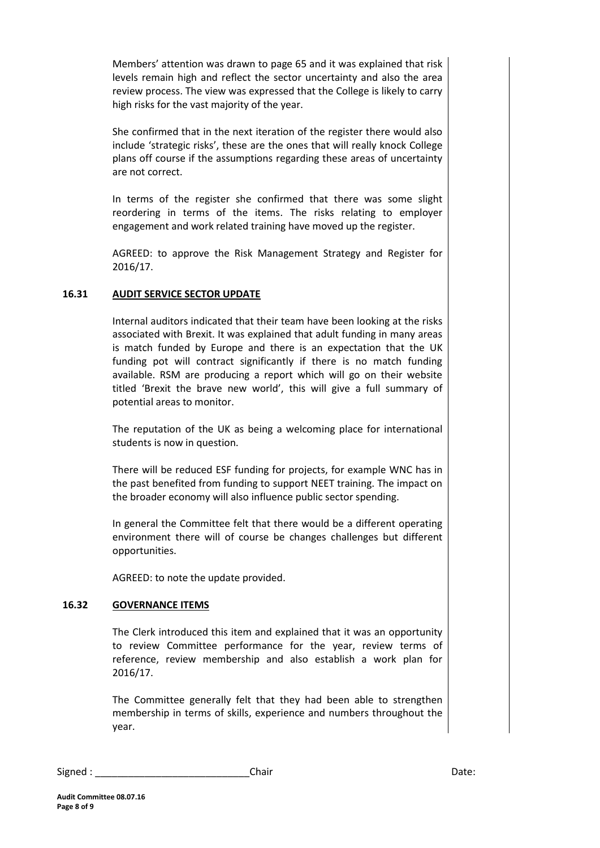Members' attention was drawn to page 65 and it was explained that risk levels remain high and reflect the sector uncertainty and also the area review process. The view was expressed that the College is likely to carry high risks for the vast majority of the year.

She confirmed that in the next iteration of the register there would also include 'strategic risks', these are the ones that will really knock College plans off course if the assumptions regarding these areas of uncertainty are not correct.

In terms of the register she confirmed that there was some slight reordering in terms of the items. The risks relating to employer engagement and work related training have moved up the register.

AGREED: to approve the Risk Management Strategy and Register for 2016/17.

# **16.31 AUDIT SERVICE SECTOR UPDATE**

Internal auditors indicated that their team have been looking at the risks associated with Brexit. It was explained that adult funding in many areas is match funded by Europe and there is an expectation that the UK funding pot will contract significantly if there is no match funding available. RSM are producing a report which will go on their website titled 'Brexit the brave new world', this will give a full summary of potential areas to monitor.

The reputation of the UK as being a welcoming place for international students is now in question.

There will be reduced ESF funding for projects, for example WNC has in the past benefited from funding to support NEET training. The impact on the broader economy will also influence public sector spending.

In general the Committee felt that there would be a different operating environment there will of course be changes challenges but different opportunities.

AGREED: to note the update provided.

#### **16.32 GOVERNANCE ITEMS**

The Clerk introduced this item and explained that it was an opportunity to review Committee performance for the year, review terms of reference, review membership and also establish a work plan for 2016/17.

The Committee generally felt that they had been able to strengthen membership in terms of skills, experience and numbers throughout the year.

Signed : \_\_\_\_\_\_\_\_\_\_\_\_\_\_\_\_\_\_\_\_\_\_\_\_\_\_\_\_Chair Date: